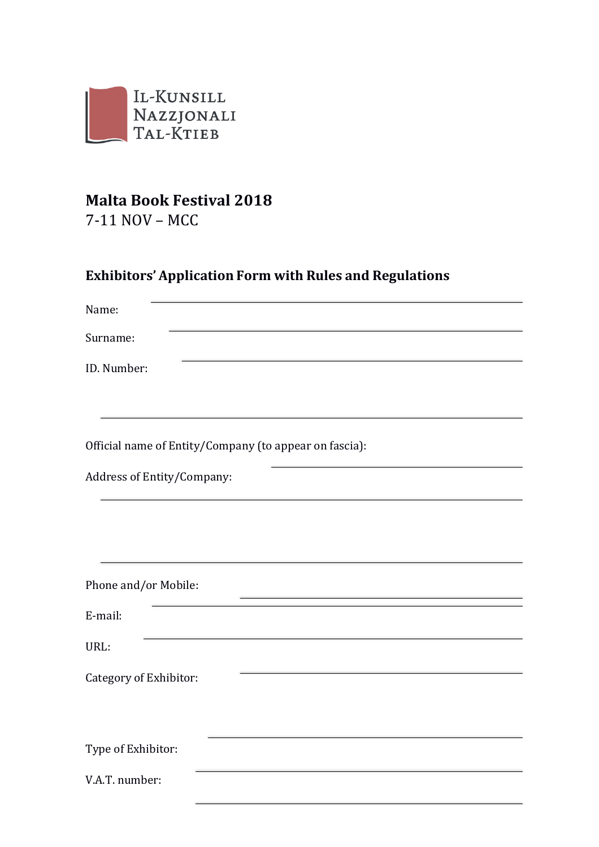

# **Malta Book Festival 2018**

7-11 NOV – MCC

## **Exhibitors' Application Form with Rules and Regulations**

| Name:                                                  |  |  |
|--------------------------------------------------------|--|--|
| Surname:                                               |  |  |
| ID. Number:                                            |  |  |
|                                                        |  |  |
| Official name of Entity/Company (to appear on fascia): |  |  |
| Address of Entity/Company:                             |  |  |
|                                                        |  |  |
|                                                        |  |  |
| Phone and/or Mobile:                                   |  |  |
| E-mail:                                                |  |  |
| URL:                                                   |  |  |
| Category of Exhibitor:                                 |  |  |
|                                                        |  |  |
| Type of Exhibitor:                                     |  |  |
| V.A.T. number:                                         |  |  |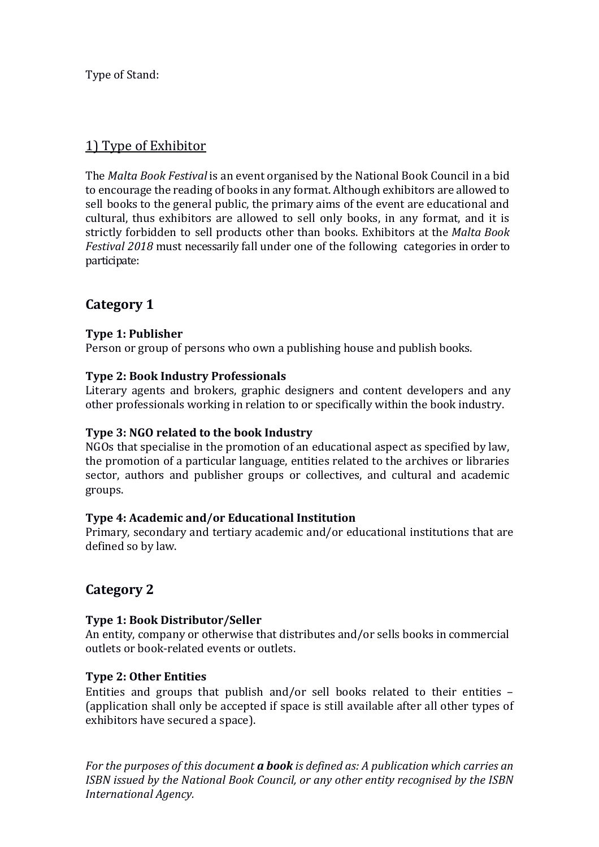Type of Stand:

## 1) Type of Exhibitor

The *Malta Book Festival* is an event organised by the National Book Council in a bid to encourage the reading of books in any format. Although exhibitors are allowed to sell books to the general public, the primary aims of the event are educational and cultural, thus exhibitors are allowed to sell only books, in any format, and it is strictly forbidden to sell products other than books. Exhibitors at the *Malta Book Festival 2018* must necessarily fall under one of the following categories in order to participate:

## **Category 1**

## **Type 1: Publisher**

Person or group of persons who own a publishing house and publish books.

## **Type 2: Book Industry Professionals**

Literary agents and brokers, graphic designers and content developers and any other professionals working in relation to or specifically within the book industry.

## **Type 3: NGO related to the book Industry**

NGOs that specialise in the promotion of an educational aspect as specified by law, the promotion of a particular language, entities related to the archives or libraries sector, authors and publisher groups or collectives, and cultural and academic groups.

## **Type 4: Academic and/or Educational Institution**

Primary, secondary and tertiary academic and/or educational institutions that are defined so by law.

## **Category 2**

## **Type 1: Book Distributor/Seller**

An entity, company or otherwise that distributes and/or sells books in commercial outlets or book-related events or outlets.

## **Type 2: Other Entities**

Entities and groups that publish and/or sell books related to their entities – (application shall only be accepted if space is still available after all other types of exhibitors have secured a space).

*For the purposes of this document a book is defined as: A publication which carries an ISBN issued by the National Book Council, or any other entity recognised by the ISBN International Agency.*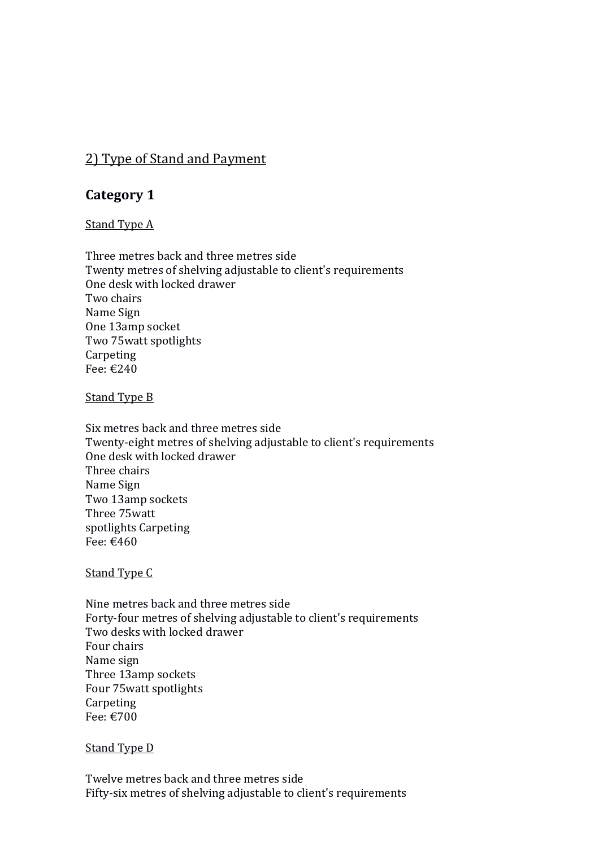## 2) Type of Stand and Payment

## **Category 1**

### Stand Type A

Three metres back and three metres side Twenty metres of shelving adjustable to client's requirements One desk with locked drawer Two chairs Name Sign One 13amp socket Two 75watt spotlights **Carpeting** Fee: €240

#### Stand Type B

Six metres back and three metres side Twenty-eight metres of shelving adjustable to client's requirements One desk with locked drawer Three chairs Name Sign Two 13amp sockets Three 75watt spotlights Carpeting Fee: €460

#### Stand Type C

Nine metres back and three metres side Forty-four metres of shelving adjustable to client's requirements Two desks with locked drawer Four chairs Name sign Three 13amp sockets Four 75watt spotlights **Carpeting** Fee: €700

### Stand Type D

Twelve metres back and three metres side Fifty-six metres of shelving adjustable to client's requirements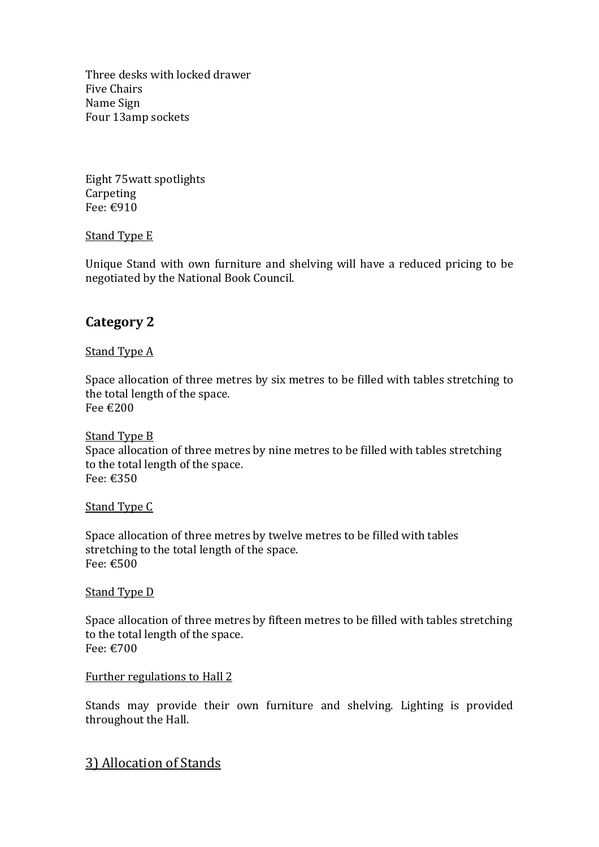Three desks with locked drawer Five Chairs Name Sign Four 13amp sockets

Eight 75watt spotlights Carpeting Fee: €910

## Stand Type E

Unique Stand with own furniture and shelving will have a reduced pricing to be negotiated by the National Book Council.

## **Category 2**

## Stand Type A

Space allocation of three metres by six metres to be filled with tables stretching to the total length of the space. Fee €200

Stand Type B Space allocation of three metres by nine metres to be filled with tables stretching to the total length of the space. Fee: €350

### Stand Type C

Space allocation of three metres by twelve metres to be filled with tables stretching to the total length of the space. Fee: €500

### Stand Type D

Space allocation of three metres by fifteen metres to be filled with tables stretching to the total length of the space. Fee: €700

#### Further regulations to Hall 2

Stands may provide their own furniture and shelving. Lighting is provided throughout the Hall.

## 3) Allocation of Stands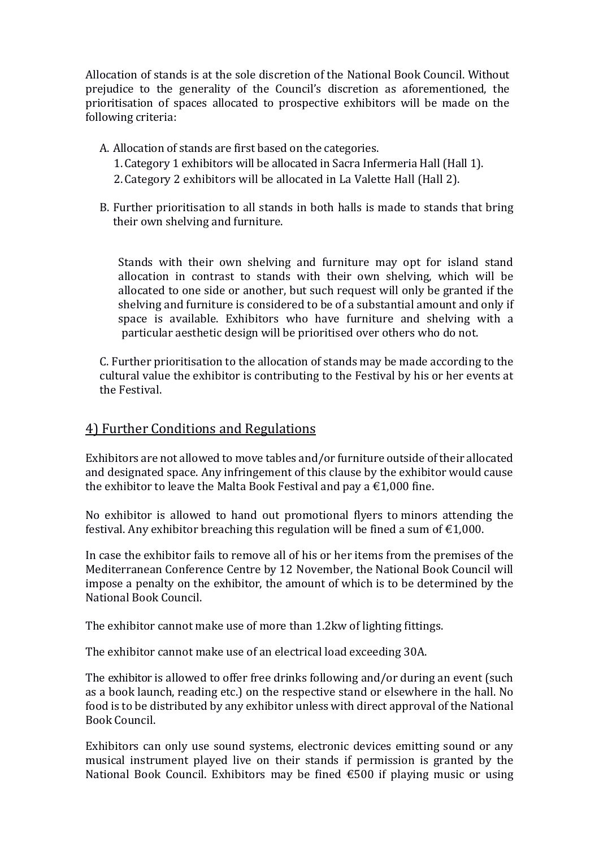Allocation of stands is at the sole discretion of the National Book Council. Without prejudice to the generality of the Council's discretion as aforementioned, the prioritisation of spaces allocated to prospective exhibitors will be made on the following criteria:

- A. Allocation of stands are first based on the categories. 1.Category 1 exhibitors will be allocated in Sacra Infermeria Hall (Hall 1).
	- 2.Category 2 exhibitors will be allocated in La Valette Hall (Hall 2).
- B. Further prioritisation to all stands in both halls is made to stands that bring their own shelving and furniture.

Stands with their own shelving and furniture may opt for island stand allocation in contrast to stands with their own shelving, which will be allocated to one side or another, but such request will only be granted if the shelving and furniture is considered to be of a substantial amount and only if space is available. Exhibitors who have furniture and shelving with a particular aesthetic design will be prioritised over others who do not.

C. Further prioritisation to the allocation of stands may be made according to the cultural value the exhibitor is contributing to the Festival by his or her events at the Festival.

## 4) Further Conditions and Regulations

Exhibitors are not allowed to move tables and/or furniture outside of their allocated and designated space. Any infringement of this clause by the exhibitor would cause the exhibitor to leave the Malta Book Festival and pay a  $\epsilon$ 1,000 fine.

No exhibitor is allowed to hand out promotional flyers to minors attending the festival. Any exhibitor breaching this regulation will be fined a sum of  $\epsilon$ 1,000.

In case the exhibitor fails to remove all of his or her items from the premises of the Mediterranean Conference Centre by 12 November, the National Book Council will impose a penalty on the exhibitor, the amount of which is to be determined by the National Book Council.

The exhibitor cannot make use of more than 1.2kw of lighting fittings.

The exhibitor cannot make use of an electrical load exceeding 30A.

The exhibitor is allowed to offer free drinks following and/or during an event (such as a book launch, reading etc.) on the respective stand or elsewhere in the hall. No food is to be distributed by any exhibitor unless with direct approval of the National Book Council.

Exhibitors can only use sound systems, electronic devices emitting sound or any musical instrument played live on their stands if permission is granted by the National Book Council. Exhibitors may be fined €500 if playing music or using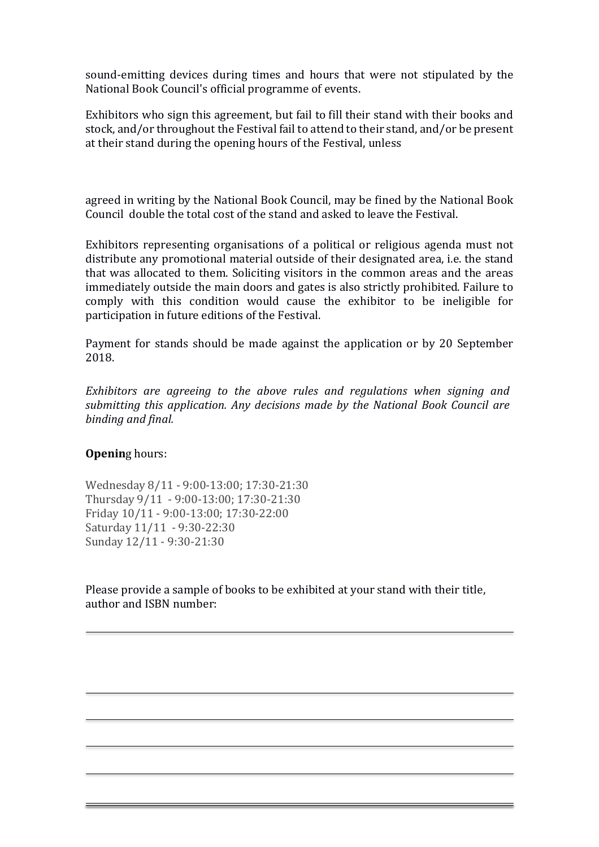sound-emitting devices during times and hours that were not stipulated by the National Book Council's official programme of events.

Exhibitors who sign this agreement, but fail to fill their stand with their books and stock, and/or throughout the Festival fail to attend to their stand, and/or be present at their stand during the opening hours of the Festival, unless

agreed in writing by the National Book Council, may be fined by the National Book Council double the total cost of the stand and asked to leave the Festival.

Exhibitors representing organisations of a political or religious agenda must not distribute any promotional material outside of their designated area, i.e. the stand that was allocated to them. Soliciting visitors in the common areas and the areas immediately outside the main doors and gates is also strictly prohibited. Failure to comply with this condition would cause the exhibitor to be ineligible for participation in future editions of the Festival.

Payment for stands should be made against the application or by 20 September 2018.

*Exhibitors are agreeing to the above rules and regulations when signing and submitting this application. Any decisions made by the National Book Council are binding and final.*

### **Opening hours:**

Wednesday 8/11 - 9:00-13:00; 17:30-21:30 Thursday 9/11 - 9:00-13:00; 17:30-21:30 Friday 10/11 - 9:00-13:00; 17:30-22:00 Saturday 11/11 - 9:30-22:30 Sunday 12/11 - 9:30-21:30

Please provide a sample of books to be exhibited at your stand with their title, author and ISBN number: